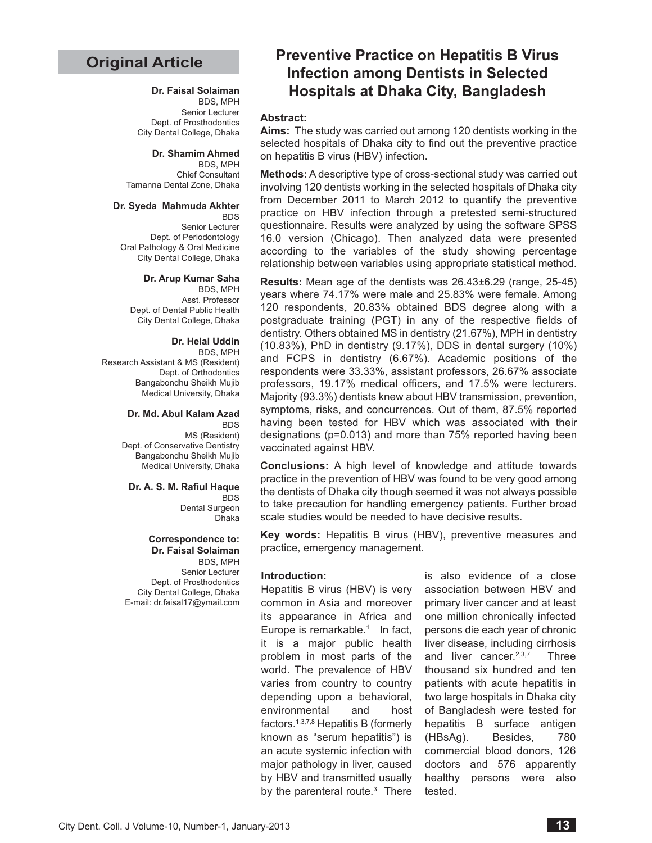# **Original Article**

## **Dr. Faisal Solaiman**

BDS, MPH Senior Lecturer Dept. of Prosthodontics City Dental College, Dhaka

**Dr. Shamim Ahmed** BDS, MPH

Chief Consultant Tamanna Dental Zone, Dhaka

**Dr. Syeda Mahmuda Akhter**

BDS Senior Lecturer Dept. of Periodontology Oral Pathology & Oral Medicine City Dental College, Dhaka

#### **Dr. Arup Kumar Saha**

BDS, MPH Asst. Professor Dept. of Dental Public Health City Dental College, Dhaka

### **Dr. Helal Uddin**

BDS, MPH Research Assistant & MS (Resident) Dept. of Orthodontics Bangabondhu Sheikh Mujib Medical University, Dhaka

#### **Dr. Md. Abul Kalam Azad**  BDS

MS (Resident) Dept. of Conservative Dentistry Bangabondhu Sheikh Mujib Medical University, Dhaka

### **Dr. A. S. M. Rafiul Haque**

BDS Dental Surgeon Dhaka

## **Correspondence to: Dr. Faisal Solaiman**

BDS, MPH Senior Lecturer Dept. of Prosthodontics City Dental College, Dhaka E-mail: dr.faisal17@ymail.com

# **Preventive Practice on Hepatitis B Virus Infection among Dentists in Selected Hospitals at Dhaka City, Bangladesh**

## **Abstract:**

**Aims:** The study was carried out among 120 dentists working in the selected hospitals of Dhaka city to find out the preventive practice on hepatitis B virus (HBV) infection.

**Methods:** A descriptive type of cross-sectional study was carried out involving 120 dentists working in the selected hospitals of Dhaka city from December 2011 to March 2012 to quantify the preventive practice on HBV infection through a pretested semi-structured questionnaire. Results were analyzed by using the software SPSS 16.0 version (Chicago). Then analyzed data were presented according to the variables of the study showing percentage relationship between variables using appropriate statistical method.

**Results:** Mean age of the dentists was 26.43±6.29 (range, 25-45) years where 74.17% were male and 25.83% were female. Among 120 respondents, 20.83% obtained BDS degree along with a postgraduate training (PGT) in any of the respective fields of dentistry. Others obtained MS in dentistry (21.67%), MPH in dentistry (10.83%), PhD in dentistry (9.17%), DDS in dental surgery (10%) and FCPS in dentistry (6.67%). Academic positions of the respondents were 33.33%, assistant professors, 26.67% associate professors, 19.17% medical officers, and 17.5% were lecturers. Majority (93.3%) dentists knew about HBV transmission, prevention, symptoms, risks, and concurrences. Out of them, 87.5% reported having been tested for HBV which was associated with their designations (p=0.013) and more than 75% reported having been vaccinated against HBV.

**Conclusions:** A high level of knowledge and attitude towards practice in the prevention of HBV was found to be very good among the dentists of Dhaka city though seemed it was not always possible to take precaution for handling emergency patients. Further broad scale studies would be needed to have decisive results.

**Key words:** Hepatitis B virus (HBV), preventive measures and practice, emergency management.

### **Introduction:**

Hepatitis B virus (HBV) is very common in Asia and moreover its appearance in Africa and Europe is remarkable. $1$  In fact, it is a major public health problem in most parts of the world. The prevalence of HBV varies from country to country depending upon a behavioral, environmental and host factors.1,3,7,8 Hepatitis B (formerly known as "serum hepatitis") is an acute systemic infection with major pathology in liver, caused by HBV and transmitted usually by the parenteral route.<sup>3</sup> There

is also evidence of a close association between HBV and primary liver cancer and at least one million chronically infected persons die each year of chronic liver disease, including cirrhosis and liver cancer.2,3,7 Three thousand six hundred and ten patients with acute hepatitis in two large hospitals in Dhaka city of Bangladesh were tested for hepatitis B surface antigen (HBsAg). Besides, 780 commercial blood donors, 126 doctors and 576 apparently healthy persons were also tested.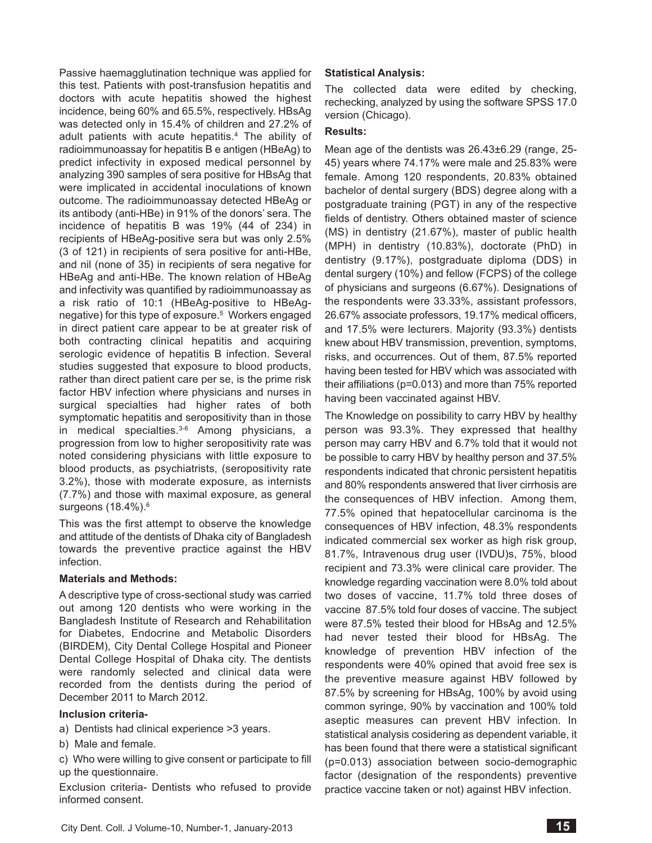Passive haemagglutination technique was applied for this test. Patients with post-transfusion hepatitis and doctors with acute hepatitis showed the highest incidence, being 60% and 65.5%, respectively. HBsAg was detected only in 15.4% of children and 27.2% of adult patients with acute hepatitis.4 The ability of radioimmunoassay for hepatitis B e antigen (HBeAg) to predict infectivity in exposed medical personnel by analyzing 390 samples of sera positive for HBsAg that were implicated in accidental inoculations of known outcome. The radioimmunoassay detected HBeAg or its antibody (anti-HBe) in 91% of the donors' sera. The incidence of hepatitis B was 19% (44 of 234) in recipients of HBeAg-positive sera but was only 2.5% (3 of 121) in recipients of sera positive for anti-HBe, and nil (none of 35) in recipients of sera negative for HBeAg and anti-HBe. The known relation of HBeAg and infectivity was quantified by radioimmunoassay as a risk ratio of 10:1 (HBeAg-positive to HBeAgnegative) for this type of exposure.<sup>5</sup> Workers engaged in direct patient care appear to be at greater risk of both contracting clinical hepatitis and acquiring serologic evidence of hepatitis B infection. Several studies suggested that exposure to blood products, rather than direct patient care per se, is the prime risk factor HBV infection where physicians and nurses in surgical specialties had higher rates of both symptomatic hepatitis and seropositivity than in those in medical specialties. $3-6$  Among physicians, a progression from low to higher seropositivity rate was noted considering physicians with little exposure to blood products, as psychiatrists, (seropositivity rate 3.2%), those with moderate exposure, as internists (7.7%) and those with maximal exposure, as general surgeons (18.4%).<sup>6</sup>

This was the first attempt to observe the knowledge and attitude of the dentists of Dhaka city of Bangladesh towards the preventive practice against the HBV infection.

# **Materials and Methods:**

A descriptive type of cross-sectional study was carried out among 120 dentists who were working in the Bangladesh Institute of Research and Rehabilitation for Diabetes, Endocrine and Metabolic Disorders (BIRDEM), City Dental College Hospital and Pioneer Dental College Hospital of Dhaka city. The dentists were randomly selected and clinical data were recorded from the dentists during the period of December 2011 to March 2012.

## **Inclusion criteria-**

- a) Dentists had clinical experience >3 years.
- b) Male and female.
- c) Who were willing to give consent or participate to fill up the questionnaire.

Exclusion criteria- Dentists who refused to provide informed consent.

## **Statistical Analysis:**

The collected data were edited by checking, rechecking, analyzed by using the software SPSS 17.0 version (Chicago).

## **Results:**

Mean age of the dentists was 26.43±6.29 (range, 25- 45) years where 74.17% were male and 25.83% were female. Among 120 respondents, 20.83% obtained bachelor of dental surgery (BDS) degree along with a postgraduate training (PGT) in any of the respective fields of dentistry. Others obtained master of science (MS) in dentistry (21.67%), master of public health (MPH) in dentistry (10.83%), doctorate (PhD) in dentistry (9.17%), postgraduate diploma (DDS) in dental surgery (10%) and fellow (FCPS) of the college of physicians and surgeons (6.67%). Designations of the respondents were 33.33%, assistant professors, 26.67% associate professors, 19.17% medical officers, and 17.5% were lecturers. Majority (93.3%) dentists knew about HBV transmission, prevention, symptoms, risks, and occurrences. Out of them, 87.5% reported having been tested for HBV which was associated with their affiliations (p=0.013) and more than 75% reported having been vaccinated against HBV.

The Knowledge on possibility to carry HBV by healthy person was 93.3%. They expressed that healthy person may carry HBV and 6.7% told that it would not be possible to carry HBV by healthy person and 37.5% respondents indicated that chronic persistent hepatitis and 80% respondents answered that liver cirrhosis are the consequences of HBV infection. Among them, 77.5% opined that hepatocellular carcinoma is the consequences of HBV infection, 48.3% respondents indicated commercial sex worker as high risk group, 81.7%, Intravenous drug user (IVDU)s, 75%, blood recipient and 73.3% were clinical care provider. The knowledge regarding vaccination were 8.0% told about two doses of vaccine, 11.7% told three doses of vaccine 87.5% told four doses of vaccine. The subject were 87.5% tested their blood for HBsAg and 12.5% had never tested their blood for HBsAg. The knowledge of prevention HBV infection of the respondents were 40% opined that avoid free sex is the preventive measure against HBV followed by 87.5% by screening for HBsAg, 100% by avoid using common syringe, 90% by vaccination and 100% told aseptic measures can prevent HBV infection. In statistical analysis cosidering as dependent variable, it has been found that there were a statistical significant (p=0.013) association between socio-demographic factor (designation of the respondents) preventive practice vaccine taken or not) against HBV infection.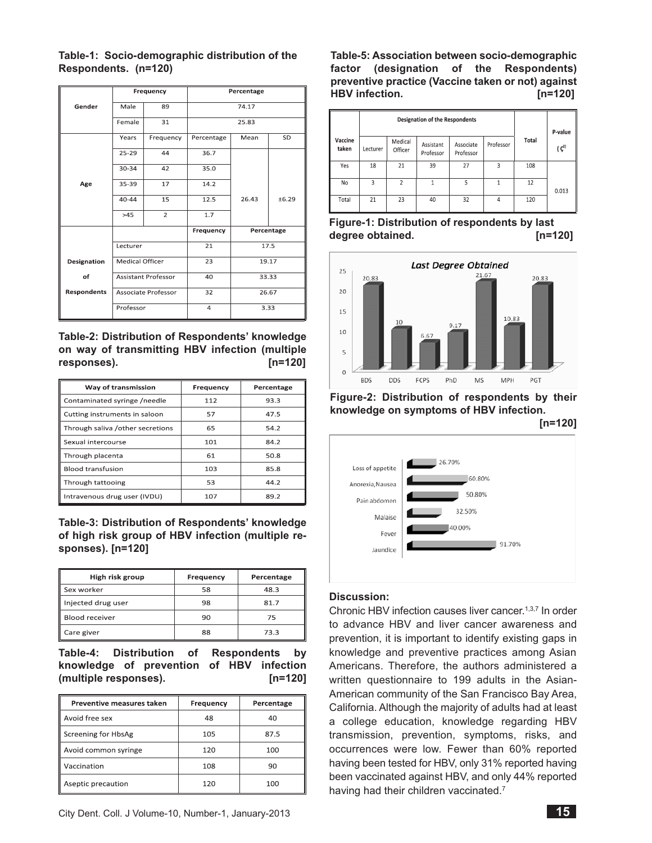## **Table-1: Socio-demographic distribution of the Respondents. (n=120)**

|                    |                            | Frequency      | Percentage |            |       |  |
|--------------------|----------------------------|----------------|------------|------------|-------|--|
| Gender             | Male                       | 89             |            | 74.17      |       |  |
|                    | Female                     | 31             | 25.83      |            |       |  |
|                    | Years                      | Frequency      | Percentage | Mean       | SD    |  |
|                    | $25 - 29$                  | 44             | 36.7       |            |       |  |
|                    | 30-34                      | 42             | 35.0       |            |       |  |
| Age                | 35-39                      | 17             | 14.2       |            |       |  |
|                    | $40 - 44$                  | 15             | 12.5       | 26.43      | ±6.29 |  |
|                    | >45                        | $\overline{2}$ | 1.7        |            |       |  |
|                    |                            |                | Frequency  | Percentage |       |  |
|                    | Lecturer                   |                | 21         | 17.5       |       |  |
| Designation        | <b>Medical Officer</b>     |                | 23         | 19.17      |       |  |
| of                 | <b>Assistant Professor</b> |                | 40         | 33.33      |       |  |
| <b>Respondents</b> | Associate Professor        |                | 32         | 26.67      |       |  |
|                    | Professor                  |                | 4          | 3.33       |       |  |

**Table-2: Distribution of Respondents' knowledge on way of transmitting HBV infection (multiple responses). [n=120]**

| Way of transmission               | Frequency | Percentage |  |
|-----------------------------------|-----------|------------|--|
| Contaminated syringe /needle      | 112       | 93.3       |  |
| Cutting instruments in saloon     | 57        | 47.5       |  |
| Through saliva / other secretions | 65        | 54.2       |  |
| Sexual intercourse                | 101       | 84.2       |  |
| Through placenta                  | 61        | 50.8       |  |
| <b>Blood transfusion</b>          | 103       | 85.8       |  |
| Through tattooing                 | 53        | 44.2       |  |
| Intravenous drug user (IVDU)      | 107       | 89.2       |  |

**Table-3: Distribution of Respondents' knowledge of high risk group of HBV infection (multiple responses). [n=120]**

| High risk group    | Frequency | Percentage |  |
|--------------------|-----------|------------|--|
| <b>S</b> ex worker | 58        | 48.3       |  |
| Injected drug user | 98        | 81.7       |  |
| Blood receiver     | 90        | 75         |  |
| Care giver         | 88        | 73.3       |  |

**Table-4: Distribution of Respondents by knowledge of prevention of HBV infection (multiple responses). [n=120]**

| Preventive measures taken | Frequency | Percentage |  |
|---------------------------|-----------|------------|--|
| Avoid free sex            | 48        | 40         |  |
| Screening for HbsAg       | 105       | 87.5       |  |
| Avoid common syringe      | 120       | 100        |  |
| Vaccination               | 108       | 90         |  |
| Aseptic precaution        | 120       | 100        |  |

**Table-5: Association between socio-demographic factor (designation of the Respondents) preventive practice (Vaccine taken or not) against HBV infection. [n=120]**

|                  | <b>Designation of the Respondents</b> |                    |                        |                        |           | P-value |                  |
|------------------|---------------------------------------|--------------------|------------------------|------------------------|-----------|---------|------------------|
| Vaccine<br>taken | Lecturer                              | Medical<br>Officer | Assistant<br>Professor | Associate<br>Professor | Professor | Total   | $\binom{c^2}{ }$ |
| Yes              | 18                                    | 21                 | 39                     | 27                     | 3         | 108     |                  |
| No               | 3                                     | $\overline{2}$     |                        | 5                      |           | 12      | 0.013            |
| Total            | 21                                    | 23                 | 40                     | 32                     | 4         | 120     |                  |

**Figure-1: Distribution of respondents by last degree obtained. [n=120]**



**Figure-2: Distribution of respondents by their knowledge on symptoms of HBV infection.** 

**[n=120]**



# **Discussion:**

Chronic HBV infection causes liver cancer.<sup>1,3,7</sup> In order to advance HBV and liver cancer awareness and prevention, it is important to identify existing gaps in knowledge and preventive practices among Asian Americans. Therefore, the authors administered a written questionnaire to 199 adults in the Asian-American community of the San Francisco Bay Area, California. Although the majority of adults had at least a college education, knowledge regarding HBV transmission, prevention, symptoms, risks, and occurrences were low. Fewer than 60% reported having been tested for HBV, only 31% reported having been vaccinated against HBV, and only 44% reported having had their children vaccinated.<sup>7</sup>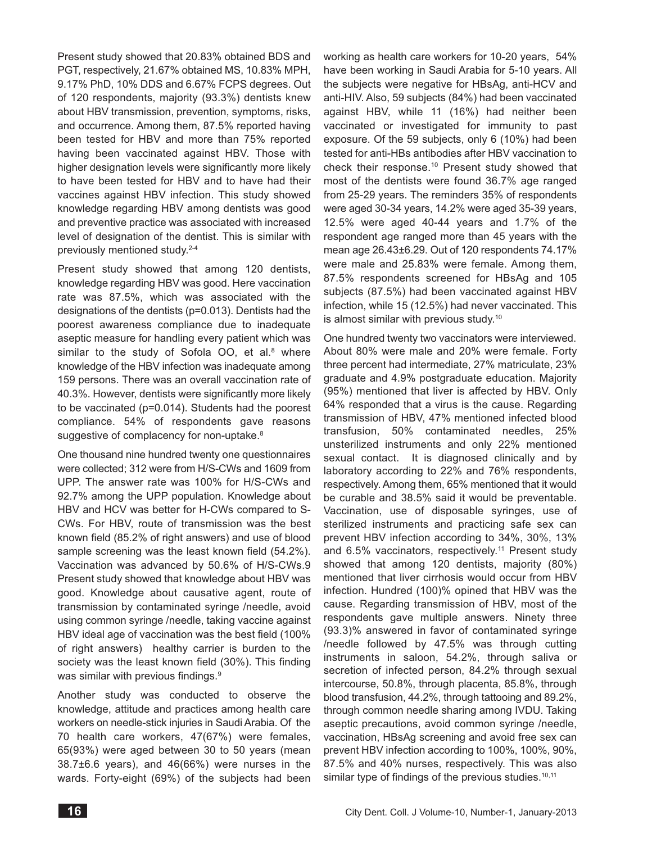Present study showed that 20.83% obtained BDS and PGT, respectively, 21.67% obtained MS, 10.83% MPH, 9.17% PhD, 10% DDS and 6.67% FCPS degrees. Out of 120 respondents, majority (93.3%) dentists knew about HBV transmission, prevention, symptoms, risks, and occurrence. Among them, 87.5% reported having been tested for HBV and more than 75% reported having been vaccinated against HBV. Those with higher designation levels were significantly more likely to have been tested for HBV and to have had their vaccines against HBV infection. This study showed knowledge regarding HBV among dentists was good and preventive practice was associated with increased level of designation of the dentist. This is similar with previously mentioned study.2-4

Present study showed that among 120 dentists, knowledge regarding HBV was good. Here vaccination rate was 87.5%, which was associated with the designations of the dentists (p=0.013). Dentists had the poorest awareness compliance due to inadequate aseptic measure for handling every patient which was similar to the study of Sofola OO, et al. $8$  where knowledge of the HBV infection was inadequate among 159 persons. There was an overall vaccination rate of 40.3%. However, dentists were significantly more likely to be vaccinated (p=0.014). Students had the poorest compliance. 54% of respondents gave reasons suggestive of complacency for non-uptake.<sup>8</sup>

One thousand nine hundred twenty one questionnaires were collected; 312 were from H/S-CWs and 1609 from UPP. The answer rate was 100% for H/S-CWs and 92.7% among the UPP population. Knowledge about HBV and HCV was better for H-CWs compared to S-CWs. For HBV, route of transmission was the best known field (85.2% of right answers) and use of blood sample screening was the least known field (54.2%). Vaccination was advanced by 50.6% of H/S-CWs.9 Present study showed that knowledge about HBV was good. Knowledge about causative agent, route of transmission by contaminated syringe /needle, avoid using common syringe /needle, taking vaccine against HBV ideal age of vaccination was the best field (100% of right answers) healthy carrier is burden to the society was the least known field (30%). This finding was similar with previous findings.<sup>9</sup>

Another study was conducted to observe the knowledge, attitude and practices among health care workers on needle-stick injuries in Saudi Arabia. Of the 70 health care workers, 47(67%) were females, 65(93%) were aged between 30 to 50 years (mean 38.7±6.6 years), and 46(66%) were nurses in the wards. Forty-eight (69%) of the subjects had been

working as health care workers for 10-20 years, 54% have been working in Saudi Arabia for 5-10 years. All the subjects were negative for HBsAg, anti-HCV and anti-HIV. Also, 59 subjects (84%) had been vaccinated against HBV, while 11 (16%) had neither been vaccinated or investigated for immunity to past exposure. Of the 59 subjects, only 6 (10%) had been tested for anti-HBs antibodies after HBV vaccination to check their response.10 Present study showed that most of the dentists were found 36.7% age ranged from 25-29 years. The reminders 35% of respondents were aged 30-34 years, 14.2% were aged 35-39 years, 12.5% were aged 40-44 years and 1.7% of the respondent age ranged more than 45 years with the mean age 26.43±6.29. Out of 120 respondents 74.17% were male and 25.83% were female. Among them, 87.5% respondents screened for HBsAg and 105 subjects (87.5%) had been vaccinated against HBV infection, while 15 (12.5%) had never vaccinated. This is almost similar with previous study.10

One hundred twenty two vaccinators were interviewed. About 80% were male and 20% were female. Forty three percent had intermediate, 27% matriculate, 23% graduate and 4.9% postgraduate education. Majority (95%) mentioned that liver is affected by HBV. Only 64% responded that a virus is the cause. Regarding transmission of HBV, 47% mentioned infected blood transfusion, 50% contaminated needles, 25% unsterilized instruments and only 22% mentioned sexual contact. It is diagnosed clinically and by laboratory according to 22% and 76% respondents, respectively. Among them, 65% mentioned that it would be curable and 38.5% said it would be preventable. Vaccination, use of disposable syringes, use of sterilized instruments and practicing safe sex can prevent HBV infection according to 34%, 30%, 13% and 6.5% vaccinators, respectively.<sup>11</sup> Present study showed that among 120 dentists, majority (80%) mentioned that liver cirrhosis would occur from HBV infection. Hundred (100)% opined that HBV was the cause. Regarding transmission of HBV, most of the respondents gave multiple answers. Ninety three (93.3)% answered in favor of contaminated syringe /needle followed by 47.5% was through cutting instruments in saloon, 54.2%, through saliva or secretion of infected person, 84.2% through sexual intercourse, 50.8%, through placenta, 85.8%, through blood transfusion, 44.2%, through tattooing and 89.2%, through common needle sharing among IVDU. Taking aseptic precautions, avoid common syringe /needle, vaccination, HBsAg screening and avoid free sex can prevent HBV infection according to 100%, 100%, 90%, 87.5% and 40% nurses, respectively. This was also similar type of findings of the previous studies.<sup>10,11</sup>